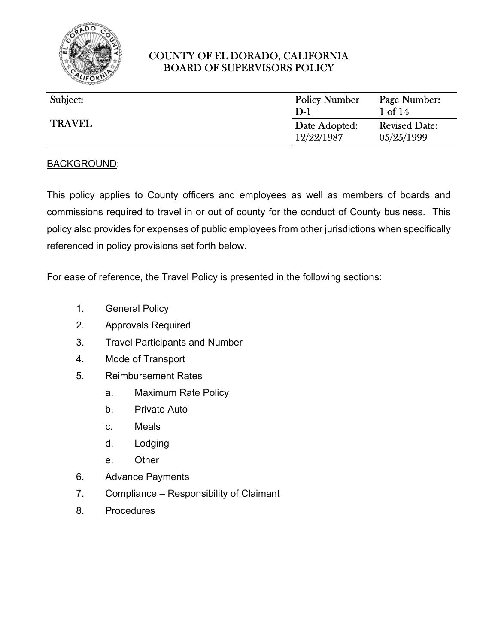

| Subject:      | <b>Policy Number</b><br>$D-1$ | Page Number:<br>$1$ of $14$        |
|---------------|-------------------------------|------------------------------------|
| <b>TRAVEL</b> | Date Adopted:<br>12/22/1987   | <b>Revised Date:</b><br>05/25/1999 |

#### BACKGROUND:

This policy applies to County officers and employees as well as members of boards and commissions required to travel in or out of county for the conduct of County business. This policy also provides for expenses of public employees from other jurisdictions when specifically referenced in policy provisions set forth below.

For ease of reference, the Travel Policy is presented in the following sections:

- 1. General Policy
- 2. Approvals Required
- 3. Travel Participants and Number
- 4. Mode of Transport
- 5. Reimbursement Rates
	- a. Maximum Rate Policy
	- b. Private Auto
	- c. Meals
	- d. Lodging
	- e. Other
- 6. Advance Payments
- 7. Compliance Responsibility of Claimant
- 8. Procedures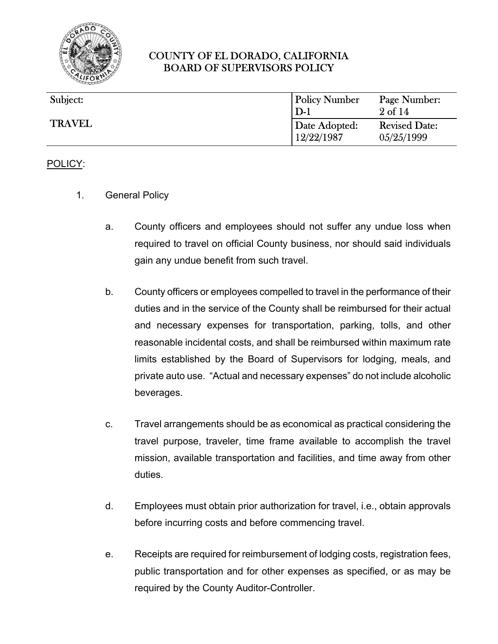

| Subject:      | <b>Policy Number</b><br>$D-1$ | Page Number:<br>$2 \text{ of } 14$ |
|---------------|-------------------------------|------------------------------------|
| <b>TRAVEL</b> | Date Adopted:<br>12/22/1987   | <b>Revised Date:</b><br>05/25/1999 |

#### POLICY:

- 1. General Policy
	- a. County officers and employees should not suffer any undue loss when required to travel on official County business, nor should said individuals gain any undue benefit from such travel.
	- b. County officers or employees compelled to travel in the performance of their duties and in the service of the County shall be reimbursed for their actual and necessary expenses for transportation, parking, tolls, and other reasonable incidental costs, and shall be reimbursed within maximum rate limits established by the Board of Supervisors for lodging, meals, and private auto use. "Actual and necessary expenses" do not include alcoholic beverages.
	- c. Travel arrangements should be as economical as practical considering the travel purpose, traveler, time frame available to accomplish the travel mission, available transportation and facilities, and time away from other duties.
	- d. Employees must obtain prior authorization for travel, i.e., obtain approvals before incurring costs and before commencing travel.
	- e. Receipts are required for reimbursement of lodging costs, registration fees, public transportation and for other expenses as specified, or as may be required by the County Auditor-Controller.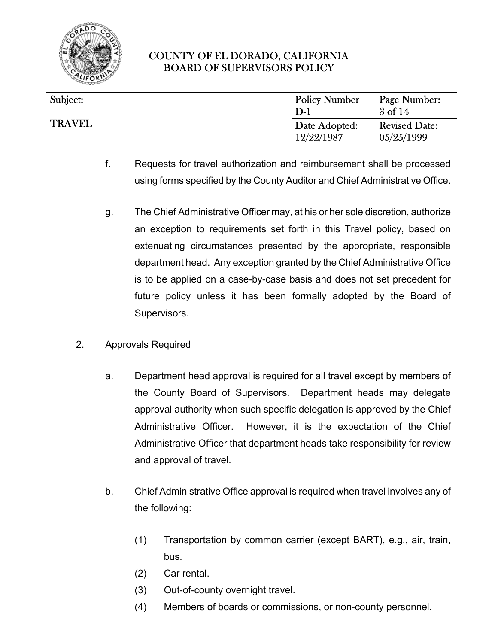

| Subject:      | <b>Policy Number</b><br>$D-1$ | Page Number:<br>$3$ of $14$        |
|---------------|-------------------------------|------------------------------------|
| <b>TRAVEL</b> | Date Adopted:<br>12/22/1987   | <b>Revised Date:</b><br>05/25/1999 |

- f. Requests for travel authorization and reimbursement shall be processed using forms specified by the County Auditor and Chief Administrative Office.
- g. The Chief Administrative Officer may, at his or her sole discretion, authorize an exception to requirements set forth in this Travel policy, based on extenuating circumstances presented by the appropriate, responsible department head. Any exception granted by the Chief Administrative Office is to be applied on a case-by-case basis and does not set precedent for future policy unless it has been formally adopted by the Board of Supervisors.
- 2. Approvals Required
	- a. Department head approval is required for all travel except by members of the County Board of Supervisors. Department heads may delegate approval authority when such specific delegation is approved by the Chief Administrative Officer. However, it is the expectation of the Chief Administrative Officer that department heads take responsibility for review and approval of travel.
	- b. Chief Administrative Office approval is required when travel involves any of the following:
		- (1) Transportation by common carrier (except BART), e.g., air, train, bus.
		- (2) Car rental.
		- (3) Out-of-county overnight travel.
		- (4) Members of boards or commissions, or non-county personnel.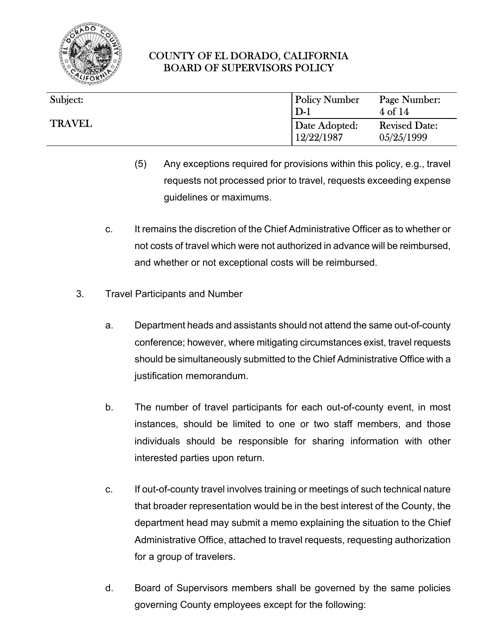

| Subject:      | <b>Policy Number</b>        |                                    |
|---------------|-----------------------------|------------------------------------|
|               | $D-1$                       | Page Number:<br>4 of 14            |
| <b>TRAVEL</b> | Date Adopted:<br>12/22/1987 | <b>Revised Date:</b><br>05/25/1999 |

- (5) Any exceptions required for provisions within this policy, e.g., travel requests not processed prior to travel, requests exceeding expense guidelines or maximums.
- c. It remains the discretion of the Chief Administrative Officer as to whether or not costs of travel which were not authorized in advance will be reimbursed, and whether or not exceptional costs will be reimbursed.
- 3. Travel Participants and Number
	- a. Department heads and assistants should not attend the same out-of-county conference; however, where mitigating circumstances exist, travel requests should be simultaneously submitted to the Chief Administrative Office with a justification memorandum.
	- b. The number of travel participants for each out-of-county event, in most instances, should be limited to one or two staff members, and those individuals should be responsible for sharing information with other interested parties upon return.
	- c. If out-of-county travel involves training or meetings of such technical nature that broader representation would be in the best interest of the County, the department head may submit a memo explaining the situation to the Chief Administrative Office, attached to travel requests, requesting authorization for a group of travelers.
	- d. Board of Supervisors members shall be governed by the same policies governing County employees except for the following: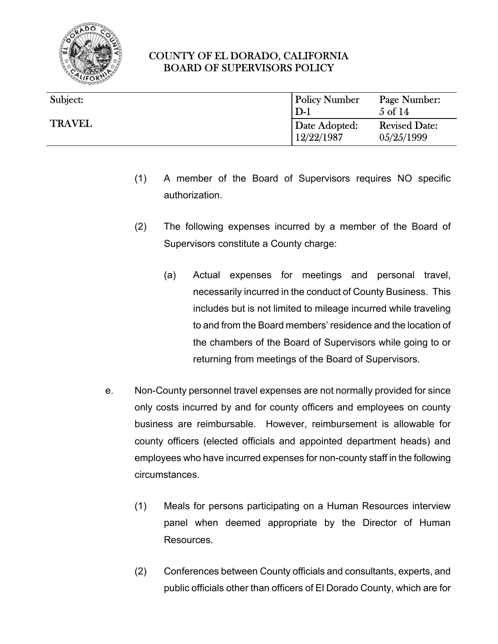

| Subject:      | <b>Policy Number</b> | Page Number:         |
|---------------|----------------------|----------------------|
| <b>TRAVEL</b> | $D-1$                | $5 \text{ of } 14$   |
|               | Date Adopted:        | <b>Revised Date:</b> |
|               | 12/22/1987           | 05/25/1999           |

- (1) A member of the Board of Supervisors requires NO specific authorization.
- (2) The following expenses incurred by a member of the Board of Supervisors constitute a County charge:
	- (a) Actual expenses for meetings and personal travel, necessarily incurred in the conduct of County Business. This includes but is not limited to mileage incurred while traveling to and from the Board members' residence and the location of the chambers of the Board of Supervisors while going to or returning from meetings of the Board of Supervisors.
- e. Non-County personnel travel expenses are not normally provided for since only costs incurred by and for county officers and employees on county business are reimbursable. However, reimbursement is allowable for county officers (elected officials and appointed department heads) and employees who have incurred expenses for non-county staff in the following circumstances.
	- (1) Meals for persons participating on a Human Resources interview panel when deemed appropriate by the Director of Human Resources.
	- (2) Conferences between County officials and consultants, experts, and public officials other than officers of El Dorado County, which are for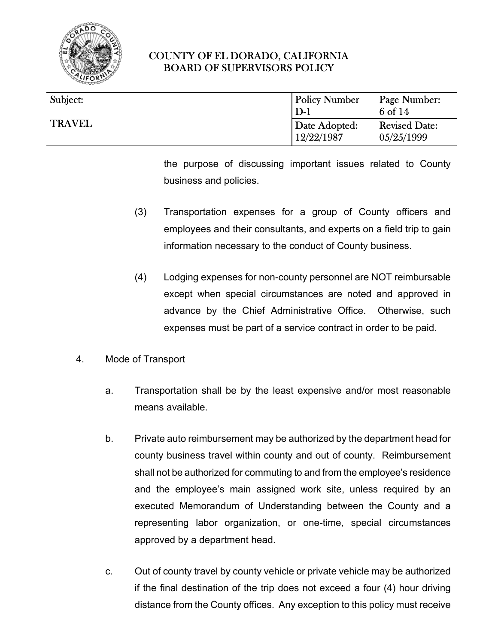

| Subject:      | <b>Policy Number</b><br>$D-1$ | Page Number:<br>6 of 14            |
|---------------|-------------------------------|------------------------------------|
| <b>TRAVEL</b> | Date Adopted:<br>12/22/1987   | <b>Revised Date:</b><br>05/25/1999 |

the purpose of discussing important issues related to County business and policies.

- (3) Transportation expenses for a group of County officers and employees and their consultants, and experts on a field trip to gain information necessary to the conduct of County business.
- (4) Lodging expenses for non-county personnel are NOT reimbursable except when special circumstances are noted and approved in advance by the Chief Administrative Office. Otherwise, such expenses must be part of a service contract in order to be paid.
- 4. Mode of Transport
	- a. Transportation shall be by the least expensive and/or most reasonable means available.
	- b. Private auto reimbursement may be authorized by the department head for county business travel within county and out of county. Reimbursement shall not be authorized for commuting to and from the employee's residence and the employee's main assigned work site, unless required by an executed Memorandum of Understanding between the County and a representing labor organization, or one-time, special circumstances approved by a department head.
	- c. Out of county travel by county vehicle or private vehicle may be authorized if the final destination of the trip does not exceed a four (4) hour driving distance from the County offices. Any exception to this policy must receive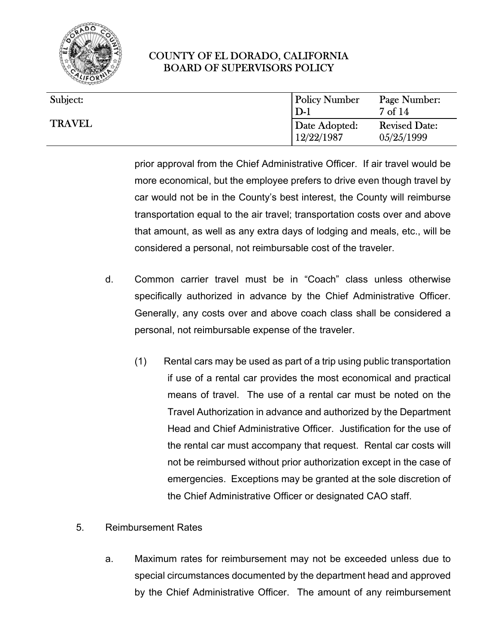

| Subject:      | <b>Policy Number</b><br>$D-1$ | Page Number:<br>$7 \text{ of } 14$ |
|---------------|-------------------------------|------------------------------------|
| <b>TRAVEL</b> | Date Adopted:<br>12/22/1987   | <b>Revised Date:</b><br>05/25/1999 |

prior approval from the Chief Administrative Officer. If air travel would be more economical, but the employee prefers to drive even though travel by car would not be in the County's best interest, the County will reimburse transportation equal to the air travel; transportation costs over and above that amount, as well as any extra days of lodging and meals, etc., will be considered a personal, not reimbursable cost of the traveler.

- d. Common carrier travel must be in "Coach" class unless otherwise specifically authorized in advance by the Chief Administrative Officer. Generally, any costs over and above coach class shall be considered a personal, not reimbursable expense of the traveler.
	- (1) Rental cars may be used as part of a trip using public transportation if use of a rental car provides the most economical and practical means of travel. The use of a rental car must be noted on the Travel Authorization in advance and authorized by the Department Head and Chief Administrative Officer. Justification for the use of the rental car must accompany that request. Rental car costs will not be reimbursed without prior authorization except in the case of emergencies. Exceptions may be granted at the sole discretion of the Chief Administrative Officer or designated CAO staff.
- 5. Reimbursement Rates
	- a. Maximum rates for reimbursement may not be exceeded unless due to special circumstances documented by the department head and approved by the Chief Administrative Officer. The amount of any reimbursement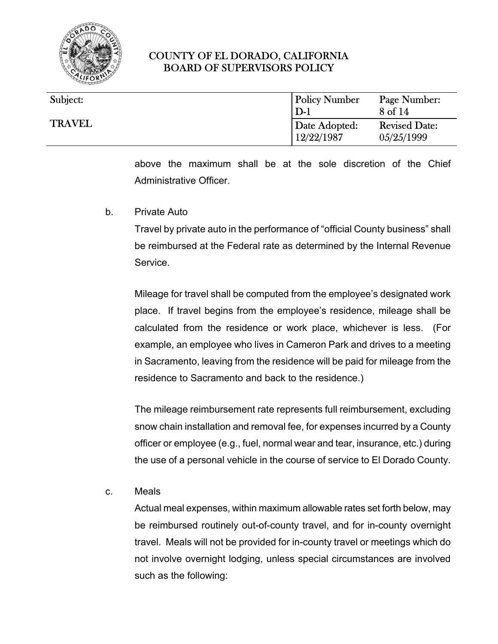

| Subject:      | <b>Policy Number</b><br>$D-1$ | Page Number:<br>8 of 14            |
|---------------|-------------------------------|------------------------------------|
| <b>TRAVEL</b> | Date Adopted:<br>12/22/1987   | <b>Revised Date:</b><br>05/25/1999 |

above the maximum shall be at the sole discretion of the Chief Administrative Officer.

b. Private Auto

Travel by private auto in the performance of "official County business" shall be reimbursed at the Federal rate as determined by the Internal Revenue **Service** 

Mileage for travel shall be computed from the employee's designated work place. If travel begins from the employee's residence, mileage shall be calculated from the residence or work place, whichever is less. (For example, an employee who lives in Cameron Park and drives to a meeting in Sacramento, leaving from the residence will be paid for mileage from the residence to Sacramento and back to the residence.)

The mileage reimbursement rate represents full reimbursement, excluding snow chain installation and removal fee, for expenses incurred by a County officer or employee (e.g., fuel, normal wear and tear, insurance, etc.) during the use of a personal vehicle in the course of service to El Dorado County.

c. Meals

Actual meal expenses, within maximum allowable rates set forth below, may be reimbursed routinely out-of-county travel, and for in-county overnight travel. Meals will not be provided for in-county travel or meetings which do not involve overnight lodging, unless special circumstances are involved such as the following: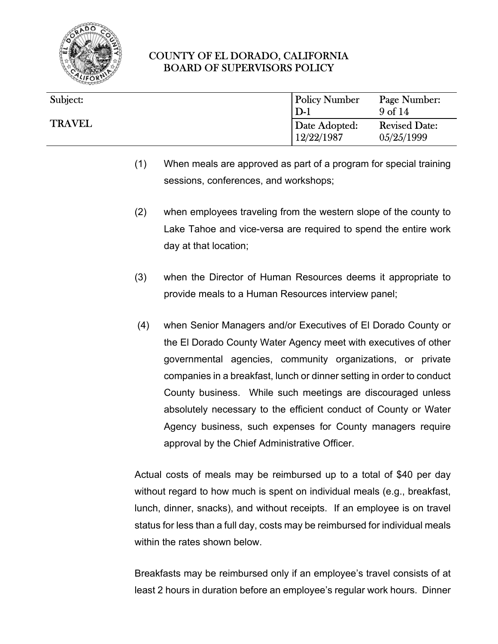

| Subject:      | <b>Policy Number</b><br>$D-1$ | Page Number:<br>9 <sub>of</sub> 14 |
|---------------|-------------------------------|------------------------------------|
| <b>TRAVEL</b> | Date Adopted:<br>12/22/1987   | <b>Revised Date:</b><br>05/25/1999 |

- (1) When meals are approved as part of a program for special training sessions, conferences, and workshops;
- (2) when employees traveling from the western slope of the county to Lake Tahoe and vice-versa are required to spend the entire work day at that location;
- (3) when the Director of Human Resources deems it appropriate to provide meals to a Human Resources interview panel;
- (4) when Senior Managers and/or Executives of El Dorado County or the El Dorado County Water Agency meet with executives of other governmental agencies, community organizations, or private companies in a breakfast, lunch or dinner setting in order to conduct County business. While such meetings are discouraged unless absolutely necessary to the efficient conduct of County or Water Agency business, such expenses for County managers require approval by the Chief Administrative Officer.

Actual costs of meals may be reimbursed up to a total of \$40 per day without regard to how much is spent on individual meals (e.g., breakfast, lunch, dinner, snacks), and without receipts. If an employee is on travel status for less than a full day, costs may be reimbursed for individual meals within the rates shown below.

Breakfasts may be reimbursed only if an employee's travel consists of at least 2 hours in duration before an employee's regular work hours. Dinner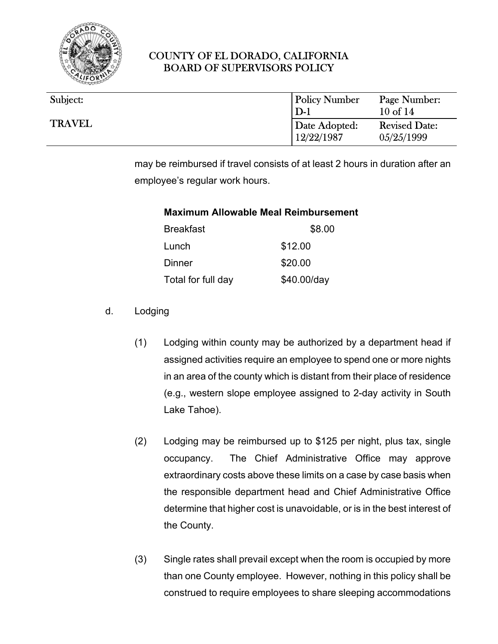

| Subject:      | <b>Policy Number</b><br>$D-1$ | Page Number:<br>$10$ of $14$       |
|---------------|-------------------------------|------------------------------------|
| <b>TRAVEL</b> | Date Adopted:<br>12/22/1987   | <b>Revised Date:</b><br>05/25/1999 |

may be reimbursed if travel consists of at least 2 hours in duration after an employee's regular work hours.

#### **Maximum Allowable Meal Reimbursement**

| <b>Breakfast</b>   | \$8.00      |
|--------------------|-------------|
| Lunch              | \$12.00     |
| Dinner             | \$20.00     |
| Total for full day | \$40.00/day |

- d. Lodging
	- (1) Lodging within county may be authorized by a department head if assigned activities require an employee to spend one or more nights in an area of the county which is distant from their place of residence (e.g., western slope employee assigned to 2-day activity in South Lake Tahoe).
	- (2) Lodging may be reimbursed up to \$125 per night, plus tax, single occupancy. The Chief Administrative Office may approve extraordinary costs above these limits on a case by case basis when the responsible department head and Chief Administrative Office determine that higher cost is unavoidable, or is in the best interest of the County.
	- (3) Single rates shall prevail except when the room is occupied by more than one County employee. However, nothing in this policy shall be construed to require employees to share sleeping accommodations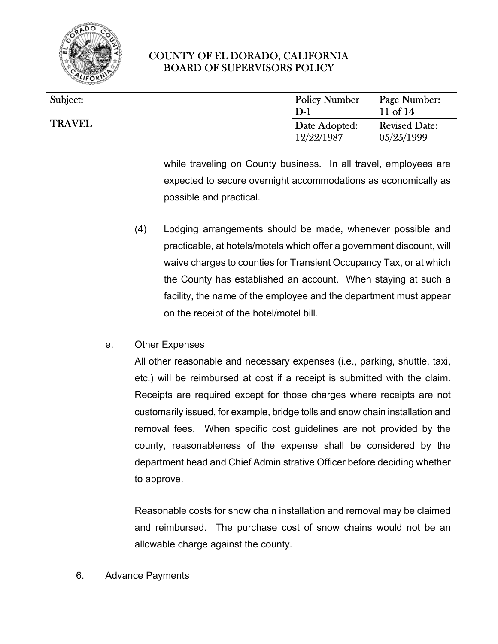

| Subject:      | <b>Policy Number</b><br>$D-1$ | Page Number:<br>11 of $14$         |
|---------------|-------------------------------|------------------------------------|
| <b>TRAVEL</b> | Date Adopted:<br>12/22/1987   | <b>Revised Date:</b><br>05/25/1999 |

while traveling on County business. In all travel, employees are expected to secure overnight accommodations as economically as possible and practical.

- (4) Lodging arrangements should be made, whenever possible and practicable, at hotels/motels which offer a government discount, will waive charges to counties for Transient Occupancy Tax, or at which the County has established an account. When staying at such a facility, the name of the employee and the department must appear on the receipt of the hotel/motel bill.
- e. Other Expenses

All other reasonable and necessary expenses (i.e., parking, shuttle, taxi, etc.) will be reimbursed at cost if a receipt is submitted with the claim. Receipts are required except for those charges where receipts are not customarily issued, for example, bridge tolls and snow chain installation and removal fees. When specific cost guidelines are not provided by the county, reasonableness of the expense shall be considered by the department head and Chief Administrative Officer before deciding whether to approve.

Reasonable costs for snow chain installation and removal may be claimed and reimbursed. The purchase cost of snow chains would not be an allowable charge against the county.

6. Advance Payments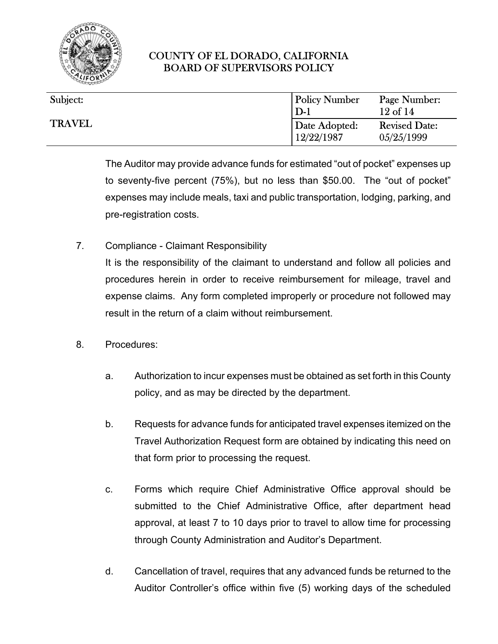

| Subject:      | <b>Policy Number</b>        | Page Number:                       |
|---------------|-----------------------------|------------------------------------|
| <b>TRAVEL</b> | $D-1$                       | $12$ of $14$                       |
|               | Date Adopted:<br>12/22/1987 | <b>Revised Date:</b><br>05/25/1999 |

The Auditor may provide advance funds for estimated "out of pocket" expenses up to seventy-five percent (75%), but no less than \$50.00. The "out of pocket" expenses may include meals, taxi and public transportation, lodging, parking, and pre-registration costs.

7. Compliance - Claimant Responsibility

It is the responsibility of the claimant to understand and follow all policies and procedures herein in order to receive reimbursement for mileage, travel and expense claims. Any form completed improperly or procedure not followed may result in the return of a claim without reimbursement.

- 8. Procedures:
	- a. Authorization to incur expenses must be obtained as set forth in this County policy, and as may be directed by the department.
	- b. Requests for advance funds for anticipated travel expenses itemized on the Travel Authorization Request form are obtained by indicating this need on that form prior to processing the request.
	- c. Forms which require Chief Administrative Office approval should be submitted to the Chief Administrative Office, after department head approval, at least 7 to 10 days prior to travel to allow time for processing through County Administration and Auditor's Department.
	- d. Cancellation of travel, requires that any advanced funds be returned to the Auditor Controller's office within five (5) working days of the scheduled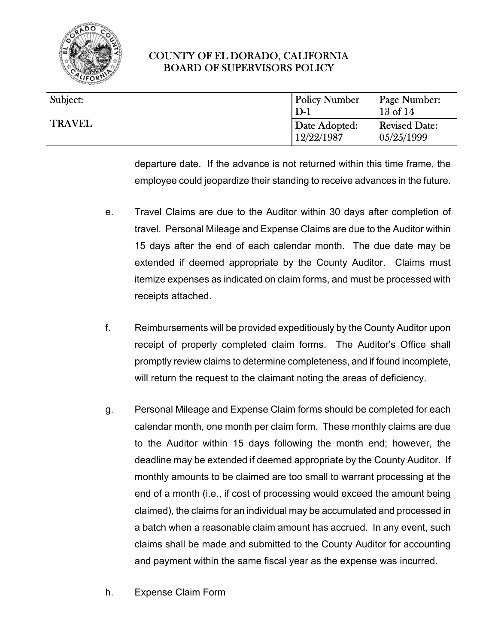

| Subject:<br><b>TRAVEL</b> | <b>Policy Number</b><br>$D-1$ | Page Number:<br>$13$ of $14$       |
|---------------------------|-------------------------------|------------------------------------|
|                           | Date Adopted:<br>12/22/1987   | <b>Revised Date:</b><br>05/25/1999 |

departure date. If the advance is not returned within this time frame, the employee could jeopardize their standing to receive advances in the future.

- e. Travel Claims are due to the Auditor within 30 days after completion of travel. Personal Mileage and Expense Claims are due to the Auditor within 15 days after the end of each calendar month. The due date may be extended if deemed appropriate by the County Auditor. Claims must itemize expenses as indicated on claim forms, and must be processed with receipts attached.
- f. Reimbursements will be provided expeditiously by the County Auditor upon receipt of properly completed claim forms. The Auditor's Office shall promptly review claims to determine completeness, and if found incomplete, will return the request to the claimant noting the areas of deficiency.
- g. Personal Mileage and Expense Claim forms should be completed for each calendar month, one month per claim form. These monthly claims are due to the Auditor within 15 days following the month end; however, the deadline may be extended if deemed appropriate by the County Auditor. If monthly amounts to be claimed are too small to warrant processing at the end of a month (i.e., if cost of processing would exceed the amount being claimed), the claims for an individual may be accumulated and processed in a batch when a reasonable claim amount has accrued. In any event, such claims shall be made and submitted to the County Auditor for accounting and payment within the same fiscal year as the expense was incurred.
- h. Expense Claim Form